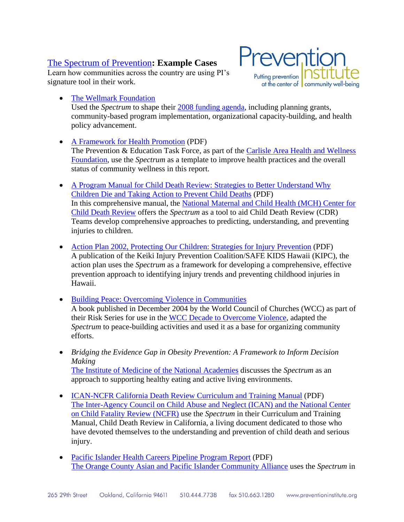## [The Spectrum of Prevention](http://174.143.205.18/index.php?option=com_jlibrary&view=article&id=105&Itemid=127)**: Example Cases**

Learn how communities across the country are using PI's signature tool in their work.

• [The Wellmark Foundation](http://www.wellmark.com/foundation/) Used the *Spectrum* to shape their [2008 funding agenda,](http://preventioninstitute.org/documents/WellmarkRFP_SpectrumEx.pdf) including planning grants, community-based program implementation, organizational capacity-building, and health policy advancement.

Preventic

at the center of community well-being

Putting prevention

- [A Framework for Health Promotion](http://www.cahwf.org/publications.cfm) (PDF) The Prevention & Education Task Force, as part of the Carlisle Area Health and Wellness [Foundation,](http://www.cahwf.org/) use the *Spectrum* as a template to improve health practices and the overall status of community wellness in this report.
- [A Program Manual for Child Death Review: Strategies to Better Understand Why](http://www.childdeathreview.org/Finalversionprotocolmanual.pdf)  [Children Die and Taking Action to Prevent Child Deaths](http://www.childdeathreview.org/Finalversionprotocolmanual.pdf) (PDF) In this comprehensive manual, the [National Maternal and Child Health \(MCH\) Center for](http://www.childdeathreview.org/preventing.htm)  [Child Death Review](http://www.childdeathreview.org/preventing.htm) offers the *Spectrum* as a tool to aid Child Death Review (CDR) Teams develop comprehensive approaches to predicting, understanding, and preventing injuries to children.
- [Action Plan 2002, Protecting Our Children: Strategies for Injury Prevention](http://www.kipchawaii.org/ActionPlan/ActionPlan2002.pdf) (PDF) A publication of the Keiki Injury Prevention Coalition/SAFE KIDS Hawaii (KIPC), the action plan uses the *Spectrum* as a framework for developing a comprehensive, effective prevention approach to identifying injury trends and preventing childhood injuries in Hawaii.
- [Building Peace: Overcoming Violence in Communities](http://www.overcomingviolence.org/en/resources/wcc-resources/books.html) A book published in December 2004 by the World Council of Churches (WCC) as part of their Risk Series for use in the [WCC Decade to Overcome Violence,](http://www.overcomingviolence.org/dov.nsf) adapted the *Spectrum* to peace-building activities and used it as a base for organizing community efforts.
- *Bridging the Evidence Gap in Obesity Prevention: A Framework to Inform Decision Making* [The Institute of Medicine of the National Academies](http://www.iom.edu/) discusses the *Spectrum* as an approach to supporting healthy eating and active living environments.
- [ICAN-NCFR California Death Review Curriculum and Training Manual](http://www.ican-ncfr.org/documents/Recommendations_to_Action.pdf) (PDF) [The Inter-Agency Council on Child Abuse and Neglect \(ICAN\) and the National Center](http://www.ican-ncfr.org/)  [on Child Fatality Review \(NCFR\)](http://www.ican-ncfr.org/) use the *Spectrum* in their Curriculum and Training Manual, Child Death Review in California, a living document dedicated to those who have devoted themselves to the understanding and prevention of child death and serious injury.
- [Pacific Islander Health Careers Pipeline](http://www.ocapica.org/documents/PipelineReport.pdf) Program Report (PDF) [The Orange County Asian and Pacific Islander Community Alliance](http://www.ocapica.org/) uses the *Spectrum* in